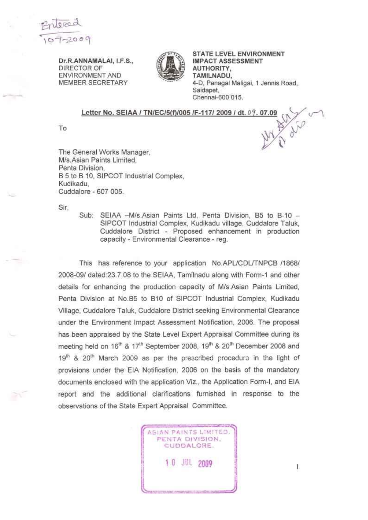

**Dr.R.ANNAMALAI, I.F.S.,**  DIRECTOR OF ENVIRONMENT AND MEMBER SECRETARY



**STATE LEVEL ENVIRONMENT IMPACT ASSESSMENT AUTHORITY, TAMILNADU,**  4-D, Panagal Maligai, 1 Jennis Road, Saidapet, Chennai-600 015.

## **Letter No. SEIAA / TN/EC/5(f)/005 /F-117/ 2009 / dt.** 07. **07.09**

To

The General Works Manager, M/s.Asian Paints Limited, Penta Division, B 5 to B 10, SIPCOT Industrial Complex, Kudikadu, Cuddalore - 607 005.

Sir,

Sub: SEIAA -M/s.Asian Paints Ltd, Penta Division, B5 to B-10 -SIPCOT Industrial Complex, Kudikadu village, Cuddalore Taluk, Cuddalore District - Proposed enhancement in production capacity - Environmental Clearance - reg.

This has reference to your application No.APL/CDL/TNPCB /1868/ 2008-09/ dated:23.7.08 to the SEIAA, Tamilnadu along with Form-1 and other details for enhancing the production capacity of M/s.Asian Paints Limited, Penta Division at No.B5 to B10 of SIPCOT Industrial Complex, Kudikadu Village, Cuddalore Taluk, Cuddalore District seeking Environmental Clearance under the Environment Impact Assessment Notification, 2006. The proposal has been appraised by the State Level Expert Appraisal Committee during its meeting held on 16<sup>th</sup> & 17<sup>th</sup> September 2008, 19<sup>th</sup> & 20<sup>th</sup> December 2008 and  $19<sup>th</sup>$  &  $20<sup>th</sup>$  March 2009 as per the prescribed procedure in the light of provisions under the EIA Notification, 2006 on the basis of the mandatory documents enclosed with the application Viz., the Application Form-I, and EIA report and the additional clarifications furnished in response to the observations of the State Expert Appraisal Committee.

> **ASIAN** PAINTS **LIMITED.**  PENTA DIVISION, CUDDALORE . **1 0** JUL **2009**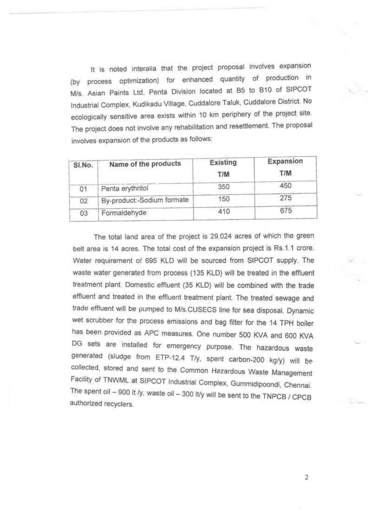It is noted interaiia that the project proposal involves expansion (by process optimization) for enhanced quantity of production in M/s. Asian Paints Ltd, Penta Division located at B5 to B10 of SIPCOT Industrial Complex, Kudikadu Village, Cuddalore Taluk, Cuddalore District. No ecologically sensitive area exists within 10 km periphery of the project site. The project does not involve any rehabilitation and resettlement. The proposal involves expansion of the products as follows:

| SI.No. | Name of the products       | Existing<br>T/M | Expansion<br>T/M |
|--------|----------------------------|-----------------|------------------|
| 01     | Penta erythritol           | 350             | 450              |
| 02     | By-product:-Sodium formate | 150             | 275              |
| 03     | Formaldehyde               | 410             | 675              |

The total land area of the project is 29.024 acres of which the green belt area is 14 acres. The total cost of the expansion project is Rs.1.1 crore. Water requirement of 695 KLD will be sourced from SIPCOT supply. The waste *water* generated from process (135 KLD) will be treated in the effluent treatment *plant* Domestic effluent (35 KLD) will be combined with the trade effluent and *treated* in the effluent treatment plant. The treated sewage and trade effluent will be pumped to M/s.CUSECS line for sea disposal. *Dynamic*  wet scrubber for the process emissions and bag filter for the 14 TPH boiler has been provided as APC measures. One number 500 KVA and 600 KVA DG sets are installed for emergency purpose. The hazardous waste generated (sludge from ETP-12.4 T/y, spent carbon-200 kg/y) will be collected, stored and sent to the Common Hazardous Waste Management Facility of TNWML at SIPCOT Industrial Complex, Gummidipoondi, Chennai The spent oil  $-$  900 It /y, waste oil  $-$  300 It/y will be sent to the TNPCB / CPCB authorized recyclers.

 $\overline{2}$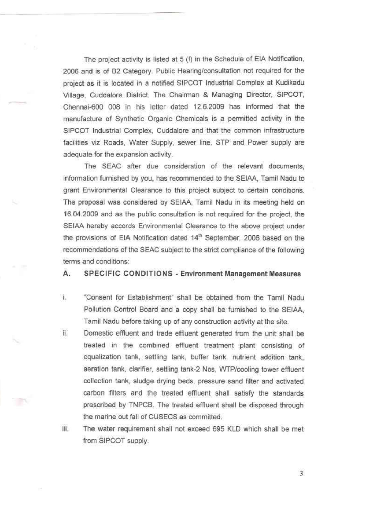The project activity is listed at 5 (f) in the Schedule of EIA Notification, 2006 and is of B2 Category. Public Hearing/consultation not required for the project as it is located in a notified SIPCOT Industrial Complex at Kudikadu Village, Cuddalore District. The Chairman & Managing Director, SIPCOT, Chennai-600 008 in his letter dated 12.6.2009 has informed that the manufacture of Synthetic Organic Chemicals is a permitted activity in the SIPCOT Industrial Complex, Cuddalore and that the common infrastructure facilities viz Roads, Water Supply, sewer line, STP and Power supply are adequate for the expansion activity.

The SEAC after due consideration of the relevant documents, information furnished by you, has recommended to the SEIAA, Tamil Nadu to grant Environmental Clearance to this project subject to certain conditions. The proposal was considered by SEIAA, Tamil Nadu in its meeting held on 16.04.2009 and as the public consultation is not required for the project, the SEIAA hereby accords Environmental Clearance to the above project under the provisions of EIA Notification dated 14<sup>th</sup> September, 2006 based on the recommendations of the SEAC subject to the strict compliance of the following terms and conditions:

**A. SPECIFI C CONDITION S - Environment Management Measures** 

- i. "Consent for Establishment" shall be obtained from the Tamil Nadu Pollution Control Board and a copy shall be furnished to the SEIAA, Tamil Nadu before taking up of any construction activity at the site.
- ii. Domestic effluent and trade effluent generated from the unit shall be treated in the combined effluent treatment plant consisting of equalization tank, settling tank, buffer tank, nutrient addition tank, aeration tank, clarifier, settling tank-2 Nos, WTP/cooling tower effluent collection tank, sludge drying beds, pressure sand filter and activated carbon filters and the treated effluent shall satisfy the standards prescribed by TNPCB. The treated effluent shall be disposed through the marine out fall of CUSECS as committed.
- iii. The water requirement shall not exceed 695 KLD which shall be met from SIPCOT supply.

 $\overline{3}$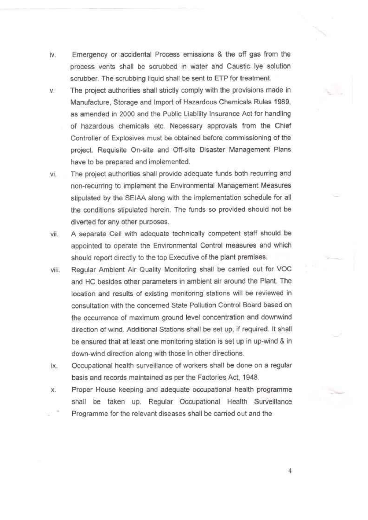- iv. Emergency or accidental Process emissions & the off gas from the process vents shall be scrubbed in water and Caustic lye solution scrubber. The scrubbing liquid shall be sent to ETP for treatment.
- v. The project authorities shall strictly comply with the provisions made in Manufacture, Storage and Import of Hazardous Chemicals Rules 1989, as amended in 2000 and the Public Liability Insurance Act for handling of hazardous chemicals etc. Necessary approvals from the Chief Controller of Explosives must be obtained before commissioning of the project. Requisite On-site and Off-site Disaster Management Plans have to be prepared and implemented.
- vi. The project authorities shall provide adequate funds both recurring and non-recurring tc implement the Environmental Management Measures stipulated by the SEIAA along with the implementation schedule for all the conditions stipulated herein. The funds so provided should not be diverted for any other purposes.
- vii. A separate Cell with adequate technically competent staff should be appointed to operate the Environmental Control measures and which should report directly to the top Executive of the plant premises.
- viii. Regular Ambient Air Quality Monitoring shall be carried out for VOC and HC besides other parameters in ambient air around the Plant. The location and results of existing monitoring stations will be reviewed in consultation with the concerned State Pollution Control Board based on the occurrence of maximum ground level concentration and downwind direction of wind. Additional Stations shall be set up, if required. It shall be ensured that at least one monitoring station is set up in up-wind & in down-wind direction along with those in other directions.
- ix. Occupational health surveillance of workers shall be done on a regular basis and records maintained as per the Factories Act, 1948.
- x. Proper House keeping and adequate occupational health programme shall be taken up. Regular Occupational Health Surveillance Programme for the relevant diseases shall be carried out and the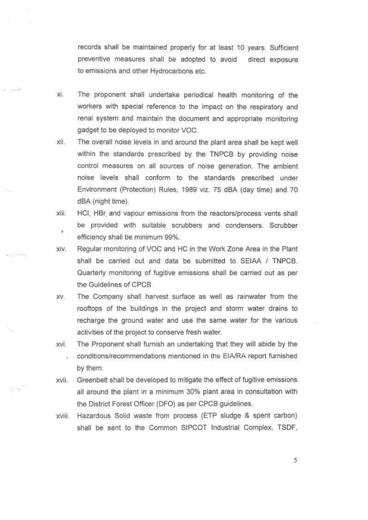records shall be maintained properly for at least 10 years. Sufficient preventive measures shall be adopted to avoid direct exposure to emissions and other Hydrocarbons etc.

- xi. The proponent shall undertake periodical health monitoring of the workers with special reference to the impact on the respiratory and renal system and maintain the document and appropriate monitoring gadget to be deployed to monitor VOC.
- xii. The overall noise levels in and around the plant area shall be kept well within the standards prescribed by the TNPCB by providing noise control measures on all sources of noise generation. The ambient noise levels shall conform to the standards prescribed under Environment (Protection) Rules, 1989 viz. 75 dBA (day time) and 70 dBA (night time).
- xiii. HCI, HBr and vapour emissions from the reactors/process vents shall be provided with suitable scrubbers and condensers. Scrubber × efficiency shall be minimum 99%.
- xiv. Regular monitoring of VOC and HC in the Work Zone Area in the Plant shall be carried out and data be submitted to SEIAA / TNPCB. Quarterly monitoring of fugitive emissions shall be carried out as per the Guidelines of CPCB.
- xv. The Company shall harvest surface as well as rainwater from the rooftops of the buildings in the project and storm water drains to recharge the ground water and use the same water for the various activities of the project to conserve fresh water.
- xvi. The Proponent shall furnish an undertaking that they will abide by the conditions/recommendations mentioned in the EiA/RA report furnished by them.
- xvii. Greenbelt shall be developed to mitigate the effect of fugitive emissions all around the plant in a minimum 30% plant area in consultation with the District Forest Officer (DFO) as per CPCB guidelines.

**SCRN** 

xviii. Hazardous Solid waste from process (ETP sludge & spent carbon) shall be sent to the Common SIPCOT Industrial Complex, TSDF,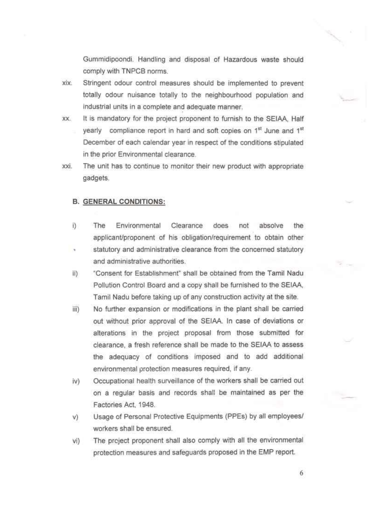Gummidipoondi. Handling and disposal of Hazardous waste should comply with TNPCB norms.

- xix. Stringent odour control measures should be implemented to prevent totally odour nuisance totally to the neighbourhood population and industrial units in a complete and adequate manner.
- xx. It is mandatory for the project proponent to furnish to the SEIAA, Half yearly compliance report in hard and soft copies on 1<sup>st</sup> June and 1<sup>st</sup> December of each calendar year in respect of the conditions stipulated in the prior Environmental clearance.
- xxi. The unit has to continue to monitor their new product with appropriate gadgets.

## **B. GENERAL CONDITIONS:**

- i) The Environmental Clearance does not absolve the applicant/proponent of his obligation/requirement to obtain other
- statutory and administrative clearance from the concerned statutory and administrative authorities.
- ii) "Consent for Establishment" shall be obtained from the Tamil Nadu Pollution Control Board and a copy shall be furnished to the SEIAA, Tamil Nadu before taking up of any construction activity at the site.
- iii) No further expansion or modifications in the plant shall be carried out without prior approval of the SEIAA. In case of deviations or alterations in the project proposal from those submitted for clearance, a fresh reference shall be made to the SEIAA to assess the adequacy of conditions imposed and to add additional environmental protection measures required, if any.
- iv) Occupational health surveillance of the workers shall be carried out on a regular basis and records shall be maintained as per the Factories Act, 1948.
- v) Usage of Personal Protective Equipments (PPEs) by all employees/ workers shall be ensured.
- vi) The project proponent shall also comply with all the environmental protection measures and safeguards proposed in the EMP report.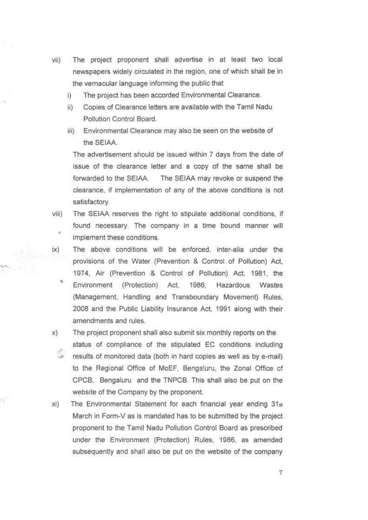- vii) The project proponent shall advertise in at least two local newspapers widely circulated in the region, one of which shall be in the vernacular language informing the public that
	- ) The project has been accorded Environmental Clearance.
	- i) Copies of Clearance letters are available with the Tamil Nadu Pollution Control Board.
	- iii) Environmental Clearance may also be seen on the website of the SEIAA.

The advertisement should be issued within 7 days from the date of issue of the clearance letter and a copy of the same shall be forwarded to the SEIAA. The SEIAA may revoke or suspend the clearance, if implementation of any of the above conditions is not satisfactory.

- viii) The SEIAA reserves the right to stipulate additional conditions, if found necessary. The company in a time bound manner will implement these conditions.
- $\mathsf{i}\mathsf{x}$ The above conditions will be enforced, inter-alia under the provisions of the Water (Prevention & Control of Pollution) Act, 1974, Air (Prevention & Control of Pollution) Act, 1981, the ٨ Environment (Protection) Act, 1986, Hazardous Wastes (Management, Handling and Transboundary Movement) Rules, 2008 and the Public Liability Insurance Act, 1991 along with their amendments and rules.
- The project proponent shall also submit six monthly reports on the X) status of compliance of the stipulated EC conditions including results of monitored data (both in hard copies as well as by e-mail) to the Regional Office of MoEF, Benga'uru, the Zonal Office of CPCB, Bengaluru and the TNPCB. This shall also be put on the website of the Company by the proponent.
- $xi)$ The Environmental Statement for each financial year ending 31st March in Form-V as is mandated has to be submitted by the project proponent to the Tamil Nadu Pollution Control Board as prescribed under the Environment (Protection) Rules, 1986, as amended subsequently and shall also be put on the website of the company